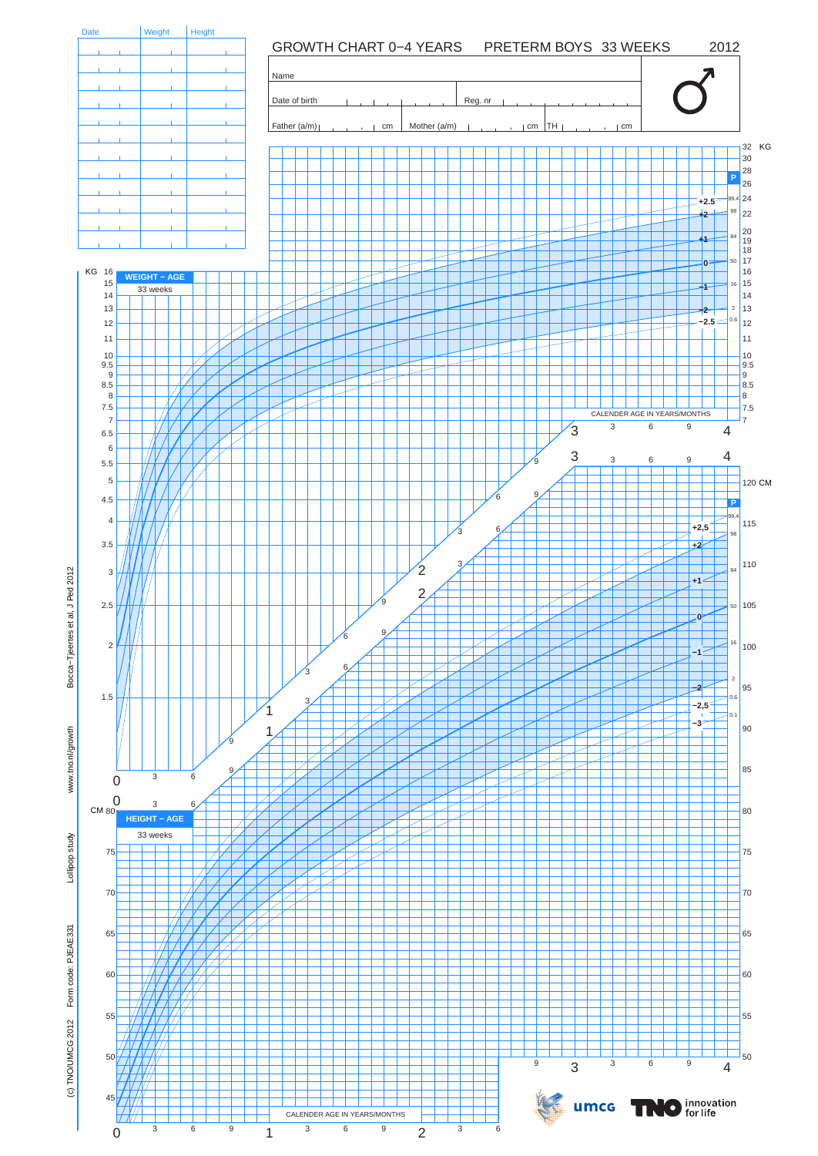